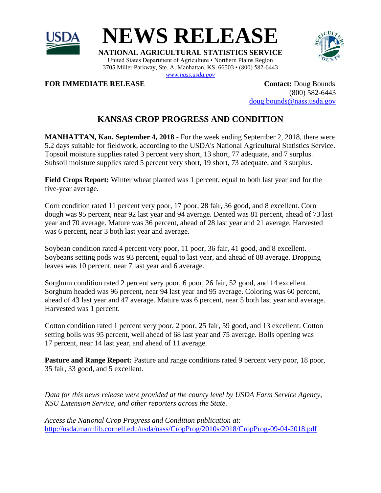



**NATIONAL AGRICULTURAL STATISTICS SERVICE** United States Department of Agriculture • Northern Plains Region 3705 Miller Parkway, Ste. A, Manhattan, KS 66503 • (800) 582-6443 *[www.nass.usda.gov](http://www.nass.usda.gov/)*

**FOR IMMEDIATE RELEASE Contact:** Doug Bounds

(800) 582-6443 [doug.bounds@nass.usda.gov](mailto:doug.bounds@nass.usda.gov)

## **KANSAS CROP PROGRESS AND CONDITION**

**MANHATTAN, Kan. September 4, 2018** - For the week ending September 2, 2018, there were 5.2 days suitable for fieldwork, according to the USDA's National Agricultural Statistics Service. Topsoil moisture supplies rated 3 percent very short, 13 short, 77 adequate, and 7 surplus. Subsoil moisture supplies rated 5 percent very short, 19 short, 73 adequate, and 3 surplus.

**Field Crops Report:** Winter wheat planted was 1 percent, equal to both last year and for the five-year average.

Corn condition rated 11 percent very poor, 17 poor, 28 fair, 36 good, and 8 excellent. Corn dough was 95 percent, near 92 last year and 94 average. Dented was 81 percent, ahead of 73 last year and 70 average. Mature was 36 percent, ahead of 28 last year and 21 average. Harvested was 6 percent, near 3 both last year and average.

Soybean condition rated 4 percent very poor, 11 poor, 36 fair, 41 good, and 8 excellent. Soybeans setting pods was 93 percent, equal to last year, and ahead of 88 average. Dropping leaves was 10 percent, near 7 last year and 6 average.

Sorghum condition rated 2 percent very poor, 6 poor, 26 fair, 52 good, and 14 excellent. Sorghum headed was 96 percent, near 94 last year and 95 average. Coloring was 60 percent, ahead of 43 last year and 47 average. Mature was 6 percent, near 5 both last year and average. Harvested was 1 percent.

Cotton condition rated 1 percent very poor, 2 poor, 25 fair, 59 good, and 13 excellent. Cotton setting bolls was 95 percent, well ahead of 68 last year and 75 average. Bolls opening was 17 percent, near 14 last year, and ahead of 11 average.

**Pasture and Range Report:** Pasture and range conditions rated 9 percent very poor, 18 poor, 35 fair, 33 good, and 5 excellent.

*Data for this news release were provided at the county level by USDA Farm Service Agency, KSU Extension Service, and other reporters across the State.*

*Access the National Crop Progress and Condition publication at:*  http://usda.mannlib.cornell.edu/usda/nass/CropProg/2010s/2018/CropProg-09-04-2018.pdf